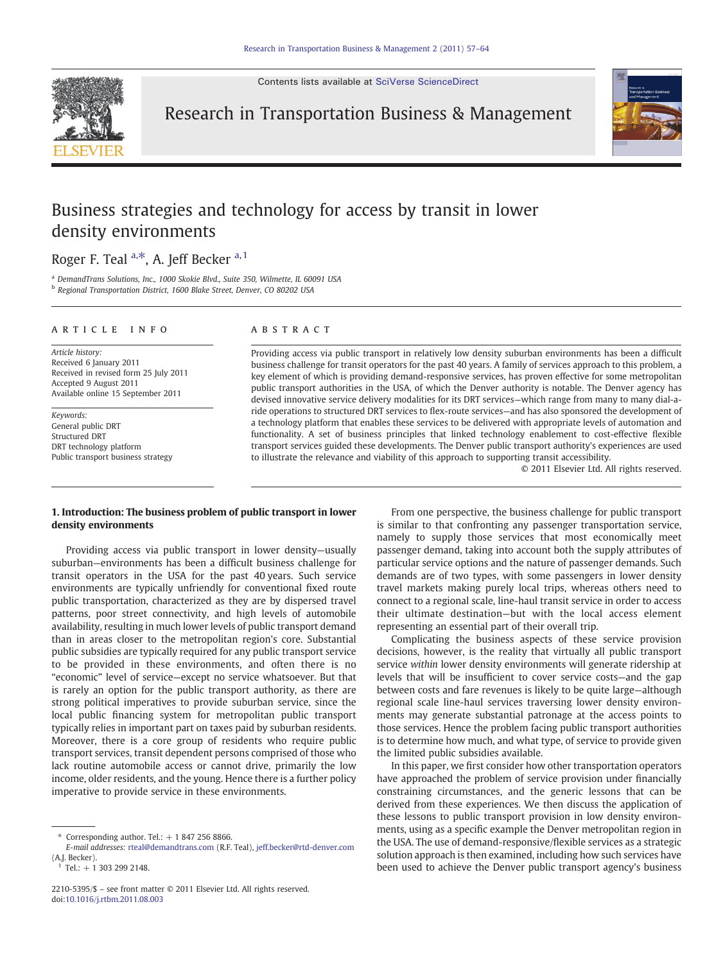Contents lists available at [SciVerse ScienceDirect](http://www.sciencedirect.com/science/journal/)



Research in Transportation Business & Management



## Business strategies and technology for access by transit in lower density environments

### Roger F. Teal <sup>a,\*</sup>, A. Jeff Becker <sup>a, 1</sup>

<sup>a</sup> DemandTrans Solutions, Inc., 1000 Skokie Blvd., Suite 350, Wilmette, IL 60091 USA <sup>b</sup> Regional Transportation District, 1600 Blake Street, Denver, CO 80202 USA

#### article info abstract

Article history: Received 6 January 2011 Received in revised form 25 July 2011 Accepted 9 August 2011 Available online 15 September 2011

Keywords: General public DRT Structured DRT DRT technology platform Public transport business strategy

Providing access via public transport in relatively low density suburban environments has been a difficult business challenge for transit operators for the past 40 years. A family of services approach to this problem, a key element of which is providing demand-responsive services, has proven effective for some metropolitan public transport authorities in the USA, of which the Denver authority is notable. The Denver agency has devised innovative service delivery modalities for its DRT services—which range from many to many dial-aride operations to structured DRT services to flex-route services—and has also sponsored the development of a technology platform that enables these services to be delivered with appropriate levels of automation and functionality. A set of business principles that linked technology enablement to cost-effective flexible transport services guided these developments. The Denver public transport authority's experiences are used to illustrate the relevance and viability of this approach to supporting transit accessibility.

© 2011 Elsevier Ltd. All rights reserved.

### 1. Introduction: The business problem of public transport in lower density environments

Providing access via public transport in lower density—usually suburban—environments has been a difficult business challenge for transit operators in the USA for the past 40 years. Such service environments are typically unfriendly for conventional fixed route public transportation, characterized as they are by dispersed travel patterns, poor street connectivity, and high levels of automobile availability, resulting in much lower levels of public transport demand than in areas closer to the metropolitan region's core. Substantial public subsidies are typically required for any public transport service to be provided in these environments, and often there is no "economic" level of service—except no service whatsoever. But that is rarely an option for the public transport authority, as there are strong political imperatives to provide suburban service, since the local public financing system for metropolitan public transport typically relies in important part on taxes paid by suburban residents. Moreover, there is a core group of residents who require public transport services, transit dependent persons comprised of those who lack routine automobile access or cannot drive, primarily the low income, older residents, and the young. Hence there is a further policy imperative to provide service in these environments.

From one perspective, the business challenge for public transport is similar to that confronting any passenger transportation service, namely to supply those services that most economically meet passenger demand, taking into account both the supply attributes of particular service options and the nature of passenger demands. Such demands are of two types, with some passengers in lower density travel markets making purely local trips, whereas others need to connect to a regional scale, line-haul transit service in order to access their ultimate destination—but with the local access element representing an essential part of their overall trip.

Complicating the business aspects of these service provision decisions, however, is the reality that virtually all public transport service within lower density environments will generate ridership at levels that will be insufficient to cover service costs—and the gap between costs and fare revenues is likely to be quite large—although regional scale line-haul services traversing lower density environments may generate substantial patronage at the access points to those services. Hence the problem facing public transport authorities is to determine how much, and what type, of service to provide given the limited public subsidies available.

In this paper, we first consider how other transportation operators have approached the problem of service provision under financially constraining circumstances, and the generic lessons that can be derived from these experiences. We then discuss the application of these lessons to public transport provision in low density environments, using as a specific example the Denver metropolitan region in the USA. The use of demand-responsive/flexible services as a strategic solution approach is then examined, including how such services have been used to achieve the Denver public transport agency's business

 $*$  Corresponding author. Tel.:  $+18472568866$ .

E-mail addresses: [rteal@demandtrans.com](mailto:rteal@demandtrans.com) (R.F. Teal), [jeff.becker@rtd-denver.com](mailto:jeff.becker@rtd-denver.com) (A.J. Becker).

Tel.:  $+ 1$  303 299 2148.

<sup>2210-5395/\$</sup> – see front matter © 2011 Elsevier Ltd. All rights reserved. doi:[10.1016/j.rtbm.2011.08.003](http://dx.doi.org/10.1016/j.rtbm.2011.08.003)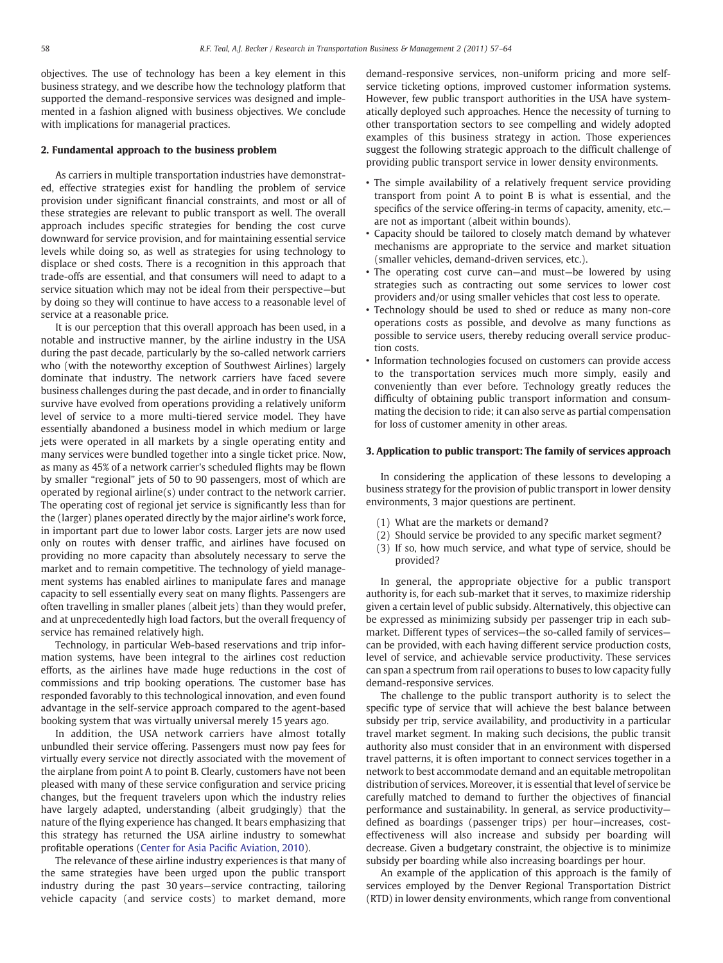objectives. The use of technology has been a key element in this business strategy, and we describe how the technology platform that supported the demand-responsive services was designed and implemented in a fashion aligned with business objectives. We conclude with implications for managerial practices.

#### 2. Fundamental approach to the business problem

As carriers in multiple transportation industries have demonstrated, effective strategies exist for handling the problem of service provision under significant financial constraints, and most or all of these strategies are relevant to public transport as well. The overall approach includes specific strategies for bending the cost curve downward for service provision, and for maintaining essential service levels while doing so, as well as strategies for using technology to displace or shed costs. There is a recognition in this approach that trade-offs are essential, and that consumers will need to adapt to a service situation which may not be ideal from their perspective—but by doing so they will continue to have access to a reasonable level of service at a reasonable price.

It is our perception that this overall approach has been used, in a notable and instructive manner, by the airline industry in the USA during the past decade, particularly by the so-called network carriers who (with the noteworthy exception of Southwest Airlines) largely dominate that industry. The network carriers have faced severe business challenges during the past decade, and in order to financially survive have evolved from operations providing a relatively uniform level of service to a more multi-tiered service model. They have essentially abandoned a business model in which medium or large jets were operated in all markets by a single operating entity and many services were bundled together into a single ticket price. Now, as many as 45% of a network carrier's scheduled flights may be flown by smaller "regional" jets of 50 to 90 passengers, most of which are operated by regional airline(s) under contract to the network carrier. The operating cost of regional jet service is significantly less than for the (larger) planes operated directly by the major airline's work force, in important part due to lower labor costs. Larger jets are now used only on routes with denser traffic, and airlines have focused on providing no more capacity than absolutely necessary to serve the market and to remain competitive. The technology of yield management systems has enabled airlines to manipulate fares and manage capacity to sell essentially every seat on many flights. Passengers are often travelling in smaller planes (albeit jets) than they would prefer, and at unprecedentedly high load factors, but the overall frequency of service has remained relatively high.

Technology, in particular Web-based reservations and trip information systems, have been integral to the airlines cost reduction efforts, as the airlines have made huge reductions in the cost of commissions and trip booking operations. The customer base has responded favorably to this technological innovation, and even found advantage in the self-service approach compared to the agent-based booking system that was virtually universal merely 15 years ago.

In addition, the USA network carriers have almost totally unbundled their service offering. Passengers must now pay fees for virtually every service not directly associated with the movement of the airplane from point A to point B. Clearly, customers have not been pleased with many of these service configuration and service pricing changes, but the frequent travelers upon which the industry relies have largely adapted, understanding (albeit grudgingly) that the nature of the flying experience has changed. It bears emphasizing that this strategy has returned the USA airline industry to somewhat profitable operations ([Center for Asia Paci](#page--1-0)fic Aviation, 2010).

The relevance of these airline industry experiences is that many of the same strategies have been urged upon the public transport industry during the past 30 years—service contracting, tailoring vehicle capacity (and service costs) to market demand, more

demand-responsive services, non-uniform pricing and more selfservice ticketing options, improved customer information systems. However, few public transport authorities in the USA have systematically deployed such approaches. Hence the necessity of turning to other transportation sectors to see compelling and widely adopted examples of this business strategy in action. Those experiences suggest the following strategic approach to the difficult challenge of providing public transport service in lower density environments.

- The simple availability of a relatively frequent service providing transport from point A to point B is what is essential, and the specifics of the service offering-in terms of capacity, amenity, etc. are not as important (albeit within bounds).
- Capacity should be tailored to closely match demand by whatever mechanisms are appropriate to the service and market situation (smaller vehicles, demand-driven services, etc.).
- The operating cost curve can—and must—be lowered by using strategies such as contracting out some services to lower cost providers and/or using smaller vehicles that cost less to operate.
- Technology should be used to shed or reduce as many non-core operations costs as possible, and devolve as many functions as possible to service users, thereby reducing overall service production costs.
- Information technologies focused on customers can provide access to the transportation services much more simply, easily and conveniently than ever before. Technology greatly reduces the difficulty of obtaining public transport information and consummating the decision to ride; it can also serve as partial compensation for loss of customer amenity in other areas.

#### 3. Application to public transport: The family of services approach

In considering the application of these lessons to developing a business strategy for the provision of public transport in lower density environments, 3 major questions are pertinent.

- (1) What are the markets or demand?
- (2) Should service be provided to any specific market segment?
- (3) If so, how much service, and what type of service, should be provided?

In general, the appropriate objective for a public transport authority is, for each sub-market that it serves, to maximize ridership given a certain level of public subsidy. Alternatively, this objective can be expressed as minimizing subsidy per passenger trip in each submarket. Different types of services—the so-called family of services can be provided, with each having different service production costs, level of service, and achievable service productivity. These services can span a spectrum from rail operations to buses to low capacity fully demand-responsive services.

The challenge to the public transport authority is to select the specific type of service that will achieve the best balance between subsidy per trip, service availability, and productivity in a particular travel market segment. In making such decisions, the public transit authority also must consider that in an environment with dispersed travel patterns, it is often important to connect services together in a network to best accommodate demand and an equitable metropolitan distribution of services. Moreover, it is essential that level of service be carefully matched to demand to further the objectives of financial performance and sustainability. In general, as service productivity defined as boardings (passenger trips) per hour—increases, costeffectiveness will also increase and subsidy per boarding will decrease. Given a budgetary constraint, the objective is to minimize subsidy per boarding while also increasing boardings per hour.

An example of the application of this approach is the family of services employed by the Denver Regional Transportation District (RTD) in lower density environments, which range from conventional